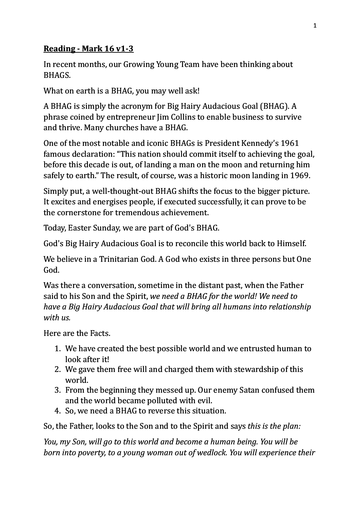## **Reading - Mark 16 v1-3**

In recent months, our Growing Young Team have been thinking about BHAGS.

What on earth is a BHAG, you may well ask!

A BHAG is simply the acronym for Big Hairy Audacious Goal (BHAG). A phrase coined by entrepreneur  $\lim$  Collins to enable business to survive and thrive. Many churches have a BHAG.

One of the most notable and iconic BHAGs is President Kennedy's 1961 famous declaration: "This nation should commit itself to achieving the goal, before this decade is out, of landing a man on the moon and returning him safely to earth." The result, of course, was a historic moon landing in 1969.

Simply put, a well-thought-out BHAG shifts the focus to the bigger picture. It excites and energises people, if executed successfully, it can prove to be the cornerstone for tremendous achievement.

Today, Easter Sunday, we are part of God's BHAG.

God's Big Hairy Audacious Goal is to reconcile this world back to Himself.

We believe in a Trinitarian God. A God who exists in three persons but One God.

Was there a conversation, sometime in the distant past, when the Father said to his Son and the Spirit, *we need a BHAG for the world! We need to have a Big Hairy Audacious Goal that will bring all humans into relationship* with *us.* 

Here are the Facts.

- 1. We have created the best possible world and we entrusted human to look after it!
- 2. We gave them free will and charged them with stewardship of this world.
- 3. From the beginning they messed up. Our enemy Satan confused them and the world became polluted with evil.
- 4. So, we need a BHAG to reverse this situation.

So, the Father, looks to the Son and to the Spirit and says *this is the plan:* 

*You, my Son, will go to this world and become a human being. You will be born into poverty, to a young woman out of wedlock. You will experience their*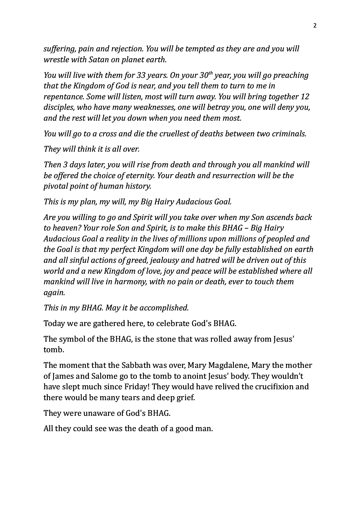*suffering, pain and rejection. You will be tempted as they are and you will wrestle with Satan on planet earth.*

*You will live with them for 33 years. On your 30<sup>th</sup> year, you will go preaching* that the Kingdom of God is near, and you tell them to turn to me in *repentance.* Some will listen, most will turn away. You will bring together 12 disciples, who have many weaknesses, one will betray you, one will deny you, and the rest will let you down when you need them most.

*You will go to a cross and die the cruellest of deaths between two criminals.* 

*They will think it is all over.* 

*Then* 3 days later, you will rise from death and through you all mankind will *be offered the choice of eternity. Your death and resurrection will be the pivotal point of human history.* 

*This is my plan, my will, my Big Hairy Audacious Goal.* 

*Are you willing to go and Spirit will you take over when my Son ascends back to heaven?* Your role Son and Spirit, is to make this BHAG – Big Hairy Audacious Goal a reality in the lives of millions upon millions of peopled and *the Goal is that my perfect Kingdom will one day be fully established on earth* and all sinful actions of greed, jealousy and hatred will be driven out of this *world* and a new Kingdom of love, joy and peace will be established where all *mankind will live in harmony, with no pain or death, ever to touch them again.*

*This in my BHAG. May it be accomplished.* 

Today we are gathered here, to celebrate God's BHAG.

The symbol of the BHAG, is the stone that was rolled away from Jesus' tomb.

The moment that the Sabbath was over, Mary Magdalene, Mary the mother of James and Salome go to the tomb to anoint Jesus' body. They wouldn't have slept much since Friday! They would have relived the crucifixion and there would be many tears and deep grief.

They were unaware of God's BHAG.

All they could see was the death of a good man.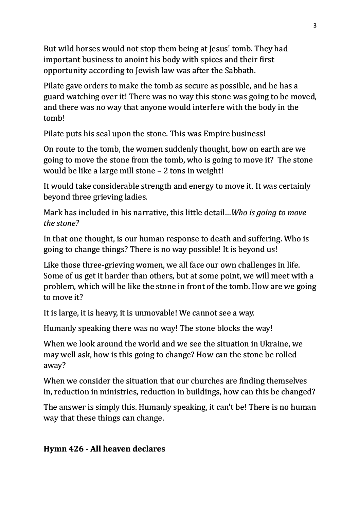But wild horses would not stop them being at Jesus' tomb. They had important business to anoint his body with spices and their first opportunity according to Jewish law was after the Sabbath.

Pilate gave orders to make the tomb as secure as possible, and he has a guard watching over it! There was no way this stone was going to be moved, and there was no way that anyone would interfere with the body in the tomb!

Pilate puts his seal upon the stone. This was Empire business!

On route to the tomb, the women suddenly thought, how on earth are we going to move the stone from the tomb, who is going to move it? The stone would be like a large mill stone  $-2$  tons in weight!

It would take considerable strength and energy to move it. It was certainly beyond three grieving ladies.

Mark has included in his narrative, this little detail...*Who is going to move the stone?*

In that one thought, is our human response to death and suffering. Who is going to change things? There is no way possible! It is beyond us!

Like those three-grieving women, we all face our own challenges in life. Some of us get it harder than others, but at some point, we will meet with a problem, which will be like the stone in front of the tomb. How are we going to move it?

It is large, it is heavy, it is unmovable! We cannot see a way.

Humanly speaking there was no way! The stone blocks the way!

When we look around the world and we see the situation in Ukraine, we may well ask, how is this going to change? How can the stone be rolled away?

When we consider the situation that our churches are finding themselves in, reduction in ministries, reduction in buildings, how can this be changed?

The answer is simply this. Humanly speaking, it can't be! There is no human way that these things can change.

## **Hymn 426 - All heaven declares**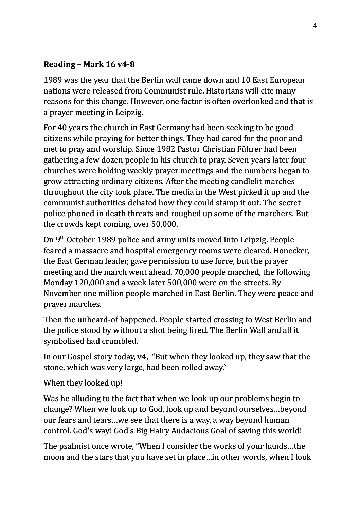## **Reading – Mark 16 v4-8**

1989 was the year that the Berlin wall came down and 10 East European nations were released from Communist rule. Historians will cite many reasons for this change. However, one factor is often overlooked and that is a prayer meeting in Leipzig.

For 40 years the church in East Germany had been seeking to be good citizens while praying for better things. They had cared for the poor and met to pray and worship. Since 1982 Pastor Christian Führer had been gathering a few dozen people in his church to pray. Seven years later four churches were holding weekly prayer meetings and the numbers began to grow attracting ordinary citizens. After the meeting candlelit marches throughout the city took place. The media in the West picked it up and the communist authorities debated how they could stamp it out. The secret police phoned in death threats and roughed up some of the marchers. But the crowds kept coming, over 50,000.

On 9<sup>th</sup> October 1989 police and army units moved into Leipzig. People feared a massacre and hospital emergency rooms were cleared. Honecker, the East German leader, gave permission to use force, but the prayer meeting and the march went ahead. 70,000 people marched, the following Monday 120,000 and a week later 500,000 were on the streets. By November one million people marched in East Berlin. They were peace and prayer marches.

Then the unheard-of happened. People started crossing to West Berlin and the police stood by without a shot being fired. The Berlin Wall and all it symbolised had crumbled.

In our Gospel story today, v4, "But when they looked up, they saw that the stone, which was very large, had been rolled away."

## When they looked up!

Was he alluding to the fact that when we look up our problems begin to change? When we look up to God, look up and beyond ourselves...beyond our fears and tears...we see that there is a way, a way beyond human control. God's way! God's Big Hairy Audacious Goal of saving this world!

The psalmist once wrote, "When I consider the works of your hands...the moon and the stars that you have set in place...in other words, when I look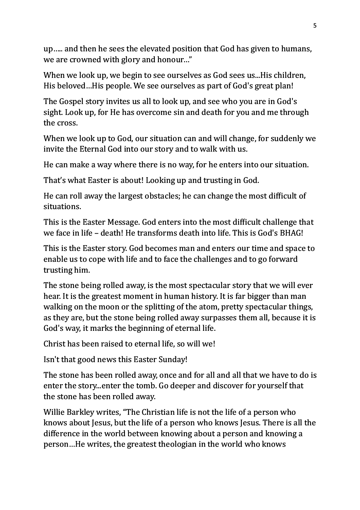up..... and then he sees the elevated position that God has given to humans, we are crowned with glory and honour..."

When we look up, we begin to see ourselves as God sees us...His children, His beloved...His people. We see ourselves as part of God's great plan!

The Gospel story invites us all to look up, and see who you are in God's sight. Look up, for He has overcome sin and death for you and me through the cross.

When we look up to God, our situation can and will change, for suddenly we invite the Eternal God into our story and to walk with us.

He can make a way where there is no way, for he enters into our situation.

That's what Easter is about! Looking up and trusting in God.

He can roll away the largest obstacles; he can change the most difficult of situations.

This is the Easter Message. God enters into the most difficult challenge that we face in life – death! He transforms death into life. This is God's BHAG!

This is the Easter story. God becomes man and enters our time and space to enable us to cope with life and to face the challenges and to go forward trusting him.

The stone being rolled away, is the most spectacular story that we will ever hear. It is the greatest moment in human history. It is far bigger than man walking on the moon or the splitting of the atom, pretty spectacular things, as they are, but the stone being rolled away surpasses them all, because it is God's way, it marks the beginning of eternal life.

Christ has been raised to eternal life, so will we!

Isn't that good news this Easter Sunday!

The stone has been rolled away, once and for all and all that we have to do is enter the story...enter the tomb. Go deeper and discover for yourself that the stone has been rolled away.

Willie Barkley writes, "The Christian life is not the life of a person who knows about lesus, but the life of a person who knows lesus. There is all the difference in the world between knowing about a person and knowing a person...He writes, the greatest theologian in the world who knows